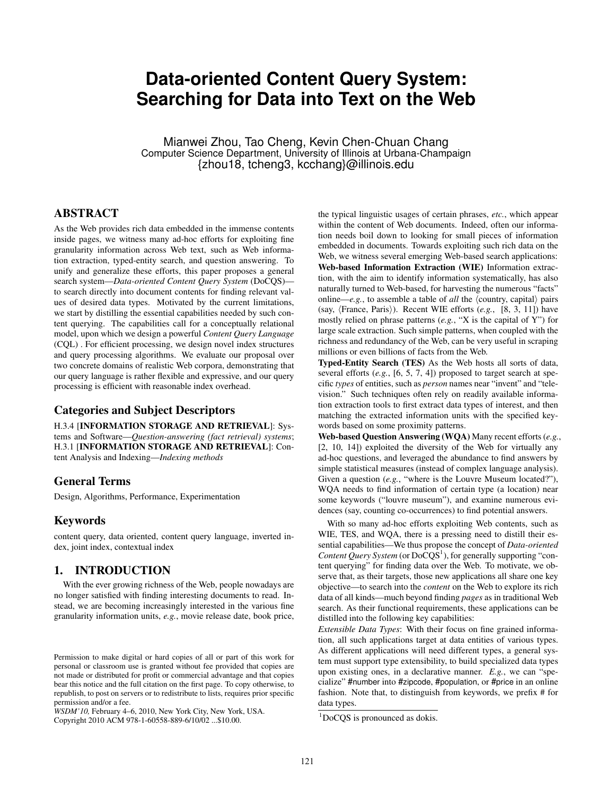# **Data-oriented Content Query System: Searching for Data into Text on the Web**

Mianwei Zhou, Tao Cheng, Kevin Chen-Chuan Chang Computer Science Department, University of Illinois at Urbana-Champaign {zhou18, tcheng3, kcchang}@illinois.edu

# ABSTRACT

As the Web provides rich data embedded in the immense contents inside pages, we witness many ad-hoc efforts for exploiting fine granularity information across Web text, such as Web information extraction, typed-entity search, and question answering. To unify and generalize these efforts, this paper proposes a general search system—*Data-oriented Content Query System* (DoCQS) to search directly into document contents for finding relevant values of desired data types. Motivated by the current limitations, we start by distilling the essential capabilities needed by such content querying. The capabilities call for a conceptually relational model, upon which we design a powerful *Content Query Language* (CQL) . For efficient processing, we design novel index structures and query processing algorithms. We evaluate our proposal over two concrete domains of realistic Web corpora, demonstrating that our query language is rather flexible and expressive, and our query processing is efficient with reasonable index overhead.

### Categories and Subject Descriptors

H.3.4 [INFORMATION STORAGE AND RETRIEVAL]: Systems and Software—*Question-answering (fact retrieval) systems*; H.3.1 [INFORMATION STORAGE AND RETRIEVAL]: Content Analysis and Indexing—*Indexing methods*

### General Terms

Design, Algorithms, Performance, Experimentation

### Keywords

content query, data oriented, content query language, inverted index, joint index, contextual index

# 1. INTRODUCTION

With the ever growing richness of the Web, people nowadays are no longer satisfied with finding interesting documents to read. Instead, we are becoming increasingly interested in the various fine granularity information units, *e.g.*, movie release date, book price,

*WSDM'10,* February 4–6, 2010, New York City, New York, USA. Copyright 2010 ACM 978-1-60558-889-6/10/02 ...\$10.00.

the typical linguistic usages of certain phrases, *etc.*, which appear within the content of Web documents. Indeed, often our information needs boil down to looking for small pieces of information embedded in documents. Towards exploiting such rich data on the Web, we witness several emerging Web-based search applications: Web-based Information Extraction (WIE) Information extraction, with the aim to identify information systematically, has also naturally turned to Web-based, for harvesting the numerous "facts" online—*e.g.*, to assemble a table of *all* the ⟨country, capital⟩ pairs (say, ⟨France, Paris⟩). Recent WIE efforts (*e.g.*, [8, 3, 11]) have mostly relied on phrase patterns (*e.g.*, "X is the capital of Y") for large scale extraction. Such simple patterns, when coupled with the richness and redundancy of the Web, can be very useful in scraping millions or even billions of facts from the Web.

Typed-Entity Search (TES) As the Web hosts all sorts of data, several efforts (*e.g.*, [6, 5, 7, 4]) proposed to target search at specific *types* of entities, such as *person* names near "invent" and "television." Such techniques often rely on readily available information extraction tools to first extract data types of interest, and then matching the extracted information units with the specified keywords based on some proximity patterns.

Web-based Question Answering (WQA) Many recent efforts (*e.g.*, [2, 10, 14]) exploited the diversity of the Web for virtually any ad-hoc questions, and leveraged the abundance to find answers by simple statistical measures (instead of complex language analysis). Given a question (*e.g.*, "where is the Louvre Museum located?"), WQA needs to find information of certain type (a location) near some keywords ("louvre museum"), and examine numerous evidences (say, counting co-occurrences) to find potential answers.

With so many ad-hoc efforts exploiting Web contents, such as WIE, TES, and WQA, there is a pressing need to distill their essential capabilities—We thus propose the concept of *Data-oriented* Content Query System (or DoCQS<sup>1</sup>), for generally supporting "content querying" for finding data over the Web. To motivate, we observe that, as their targets, those new applications all share one key objective—to search into the *content* on the Web to explore its rich data of all kinds—much beyond finding *pages* as in traditional Web search. As their functional requirements, these applications can be distilled into the following key capabilities:

*Extensible Data Types*: With their focus on fine grained information, all such applications target at data entities of various types. As different applications will need different types, a general system must support type extensibility, to build specialized data types upon existing ones, in a declarative manner. *E.g.*, we can "specialize" #number into #zipcode, #population, or #price in an online fashion. Note that, to distinguish from keywords, we prefix # for data types.

Permission to make digital or hard copies of all or part of this work for personal or classroom use is granted without fee provided that copies are not made or distributed for profit or commercial advantage and that copies bear this notice and the full citation on the first page. To copy otherwise, to republish, to post on servers or to redistribute to lists, requires prior specific permission and/or a fee.

<sup>&</sup>lt;sup>1</sup>DoCQS is pronounced as dokis.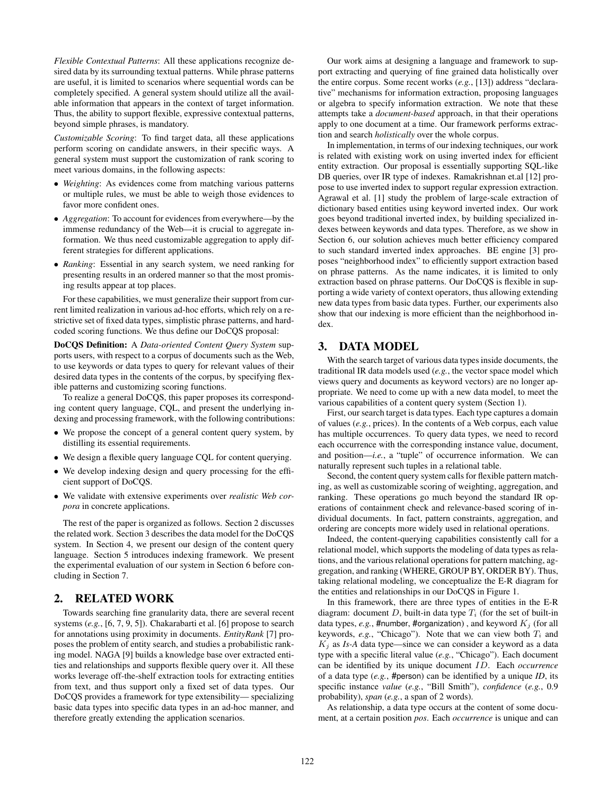*Flexible Contextual Patterns*: All these applications recognize desired data by its surrounding textual patterns. While phrase patterns are useful, it is limited to scenarios where sequential words can be completely specified. A general system should utilize all the available information that appears in the context of target information. Thus, the ability to support flexible, expressive contextual patterns, beyond simple phrases, is mandatory.

*Customizable Scoring*: To find target data, all these applications perform scoring on candidate answers, in their specific ways. A general system must support the customization of rank scoring to meet various domains, in the following aspects:

- ∙ *Weighting*: As evidences come from matching various patterns or multiple rules, we must be able to weigh those evidences to favor more confident ones.
- ∙ *Aggregation*: To account for evidences from everywhere—by the immense redundancy of the Web—it is crucial to aggregate information. We thus need customizable aggregation to apply different strategies for different applications.
- ∙ *Ranking*: Essential in any search system, we need ranking for presenting results in an ordered manner so that the most promising results appear at top places.

For these capabilities, we must generalize their support from current limited realization in various ad-hoc efforts, which rely on a restrictive set of fixed data types, simplistic phrase patterns, and hardcoded scoring functions. We thus define our DoCQS proposal:

DoCQS Definition: A *Data-oriented Content Query System* supports users, with respect to a corpus of documents such as the Web, to use keywords or data types to query for relevant values of their desired data types in the contents of the corpus, by specifying flexible patterns and customizing scoring functions.

To realize a general DoCQS, this paper proposes its corresponding content query language, CQL, and present the underlying indexing and processing framework, with the following contributions:

- ∙ We propose the concept of a general content query system, by distilling its essential requirements.
- ∙ We design a flexible query language CQL for content querying.
- ∙ We develop indexing design and query processing for the efficient support of DoCQS.
- ∙ We validate with extensive experiments over *realistic Web corpora* in concrete applications.

The rest of the paper is organized as follows. Section 2 discusses the related work. Section 3 describes the data model for the DoCQS system. In Section 4, we present our design of the content query language. Section 5 introduces indexing framework. We present the experimental evaluation of our system in Section 6 before concluding in Section 7.

### 2. RELATED WORK

Towards searching fine granularity data, there are several recent systems (*e.g.*, [6, 7, 9, 5]). Chakarabarti et al. [6] propose to search for annotations using proximity in documents. *EntityRank* [7] proposes the problem of entity search, and studies a probabilistic ranking model. NAGA [9] builds a knowledge base over extracted entities and relationships and supports flexible query over it. All these works leverage off-the-shelf extraction tools for extracting entities from text, and thus support only a fixed set of data types. Our DoCQS provides a framework for type extensibility— specializing basic data types into specific data types in an ad-hoc manner, and therefore greatly extending the application scenarios.

Our work aims at designing a language and framework to support extracting and querying of fine grained data holistically over the entire corpus. Some recent works (*e.g.*, [13]) address "declarative" mechanisms for information extraction, proposing languages or algebra to specify information extraction. We note that these attempts take a *document-based* approach, in that their operations apply to one document at a time. Our framework performs extraction and search *holistically* over the whole corpus.

In implementation, in terms of our indexing techniques, our work is related with existing work on using inverted index for efficient entity extraction. Our proposal is essentially supporting SQL-like DB queries, over IR type of indexes. Ramakrishnan et.al [12] propose to use inverted index to support regular expression extraction. Agrawal et al. [1] study the problem of large-scale extraction of dictionary based entities using keyword inverted index. Our work goes beyond traditional inverted index, by building specialized indexes between keywords and data types. Therefore, as we show in Section 6, our solution achieves much better efficiency compared to such standard inverted index approaches. BE engine [3] proposes "neighborhood index" to efficiently support extraction based on phrase patterns. As the name indicates, it is limited to only extraction based on phrase patterns. Our DoCQS is flexible in supporting a wide variety of context operators, thus allowing extending new data types from basic data types. Further, our experiments also show that our indexing is more efficient than the neighborhood index.

# 3. DATA MODEL

With the search target of various data types inside documents, the traditional IR data models used (*e.g.*, the vector space model which views query and documents as keyword vectors) are no longer appropriate. We need to come up with a new data model, to meet the various capabilities of a content query system (Section 1).

First, our search target is data types. Each type captures a domain of values (*e.g.*, prices). In the contents of a Web corpus, each value has multiple occurrences. To query data types, we need to record each occurrence with the corresponding instance value, document, and position—*i.e.*, a "tuple" of occurrence information. We can naturally represent such tuples in a relational table.

Second, the content query system calls for flexible pattern matching, as well as customizable scoring of weighting, aggregation, and ranking. These operations go much beyond the standard IR operations of containment check and relevance-based scoring of individual documents. In fact, pattern constraints, aggregation, and ordering are concepts more widely used in relational operations.

Indeed, the content-querying capabilities consistently call for a relational model, which supports the modeling of data types as relations, and the various relational operations for pattern matching, aggregation, and ranking (WHERE, GROUP BY, ORDER BY). Thus, taking relational modeling, we conceptualize the E-R diagram for the entities and relationships in our DoCQS in Figure 1.

In this framework, there are three types of entities in the E-R diagram: document  $D$ , built-in data type  $T_i$  (for the set of built-in data types,  $e.g.,$  #number, #organization), and keyword  $K_i$  (for all keywords,  $e.g.,$  "Chicago"). Note that we can view both  $T_i$  and  $K_i$  as *Is-A* data type—since we can consider a keyword as a data type with a specific literal value (*e.g.*, "Chicago"). Each document can be identified by its unique document *ID*. Each *occurrence* of a data type (*e.g.*, #person) can be identified by a unique *ID*, its specific instance *value* (*e.g.*, "Bill Smith"), *confidence* (*e.g.*, 0.9 probability), *span* (*e.g.*, a span of 2 words).

As relationship, a data type occurs at the content of some document, at a certain position *pos*. Each *occurrence* is unique and can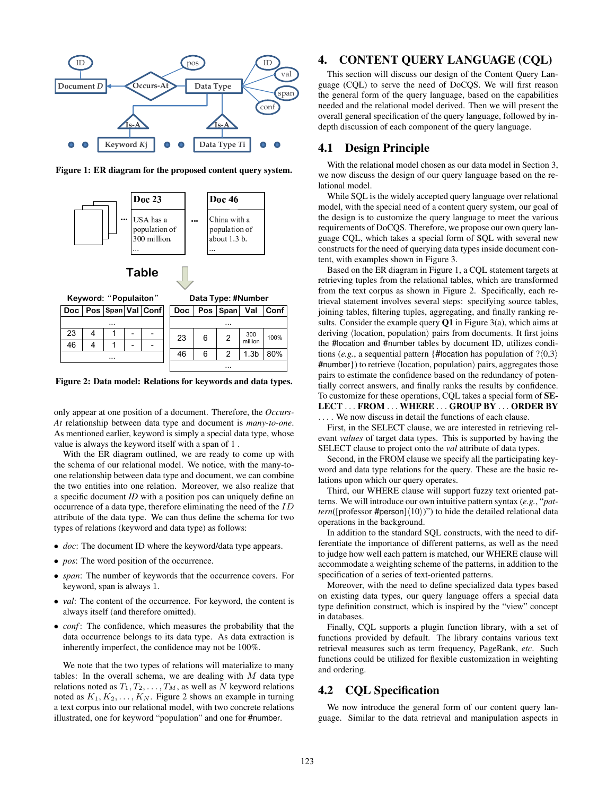

Figure 1: ER diagram for the proposed content query system.



Figure 2: Data model: Relations for keywords and data types.

...

only appear at one position of a document. Therefore, the *Occurs-At* relationship between data type and document is *many-to-one*. As mentioned earlier, keyword is simply a special data type, whose value is always the keyword itself with a span of 1 .

With the ER diagram outlined, we are ready to come up with the schema of our relational model. We notice, with the many-toone relationship between data type and document, we can combine the two entities into one relation. Moreover, we also realize that a specific document *ID* with a position pos can uniquely define an occurrence of a data type, therefore eliminating the need of the  $ID$ attribute of the data type. We can thus define the schema for two types of relations (keyword and data type) as follows:

- ∙ *doc*: The document ID where the keyword/data type appears.
- ∙ *pos*: The word position of the occurrence.

...

- ∙ *span*: The number of keywords that the occurrence covers. For keyword, span is always 1.
- ∙ *val*: The content of the occurrence. For keyword, the content is always itself (and therefore omitted).
- ∙ *conf* : The confidence, which measures the probability that the data occurrence belongs to its data type. As data extraction is inherently imperfect, the confidence may not be 100%.

We note that the two types of relations will materialize to many tables: In the overall schema, we are dealing with  $M$  data type relations noted as  $T_1, T_2, \ldots, T_M$ , as well as N keyword relations noted as  $K_1, K_2, \ldots, K_N$ . Figure 2 shows an example in turning a text corpus into our relational model, with two concrete relations illustrated, one for keyword "population" and one for #number.

# 4. CONTENT QUERY LANGUAGE (CQL)

This section will discuss our design of the Content Query Language (CQL) to serve the need of DoCQS. We will first reason the general form of the query language, based on the capabilities needed and the relational model derived. Then we will present the overall general specification of the query language, followed by indepth discussion of each component of the query language.

# 4.1 Design Principle

With the relational model chosen as our data model in Section 3, we now discuss the design of our query language based on the relational model.

While SQL is the widely accepted query language over relational model, with the special need of a content query system, our goal of the design is to customize the query language to meet the various requirements of DoCQS. Therefore, we propose our own query language CQL, which takes a special form of SQL with several new constructs for the need of querying data types inside document content, with examples shown in Figure 3.

Based on the ER diagram in Figure 1, a CQL statement targets at retrieving tuples from the relational tables, which are transformed from the text corpus as shown in Figure 2. Specifically, each retrieval statement involves several steps: specifying source tables, joining tables, filtering tuples, aggregating, and finally ranking results. Consider the example query  $Q1$  in Figure 3(a), which aims at deriving ⟨location, population⟩ pairs from documents. It first joins the #location and #number tables by document ID, utilizes conditions (*e.g.*, a sequential pattern {#location has population of  $?\langle 0,3 \rangle$ #number}) to retrieve ⟨location, population⟩ pairs, aggregates those pairs to estimate the confidence based on the redundancy of potentially correct answers, and finally ranks the results by confidence. To customize for these operations, CQL takes a special form of SE-LECT . . . FROM . . . WHERE . . . GROUP BY . . . ORDER BY ... We now discuss in detail the functions of each clause.

First, in the SELECT clause, we are interested in retrieving relevant *values* of target data types. This is supported by having the SELECT clause to project onto the *val* attribute of data types.

Second, in the FROM clause we specify all the participating keyword and data type relations for the query. These are the basic relations upon which our query operates.

Third, our WHERE clause will support fuzzy text oriented patterns. We will introduce our own intuitive pattern syntax (*e.g.*, "*pattern*([professor #person] $(10)$ ])") to hide the detailed relational data operations in the background.

In addition to the standard SQL constructs, with the need to differentiate the importance of different patterns, as well as the need to judge how well each pattern is matched, our WHERE clause will accommodate a weighting scheme of the patterns, in addition to the specification of a series of text-oriented patterns.

Moreover, with the need to define specialized data types based on existing data types, our query language offers a special data type definition construct, which is inspired by the "view" concept in databases.

Finally, CQL supports a plugin function library, with a set of functions provided by default. The library contains various text retrieval measures such as term frequency, PageRank, *etc*. Such functions could be utilized for flexible customization in weighting and ordering.

# 4.2 CQL Specification

We now introduce the general form of our content query language. Similar to the data retrieval and manipulation aspects in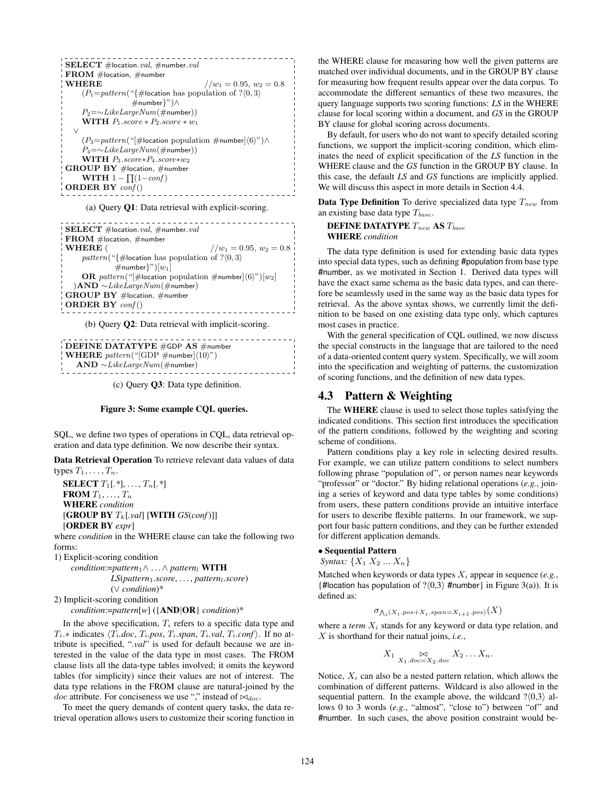| <b>SELECT</b> #location.val. #number.val                                   |
|----------------------------------------------------------------------------|
| $\mathbf{FROM}$ #location, #number                                         |
| <b>WHERE</b><br>$1/w_1 = 0.95, w_2 = 0.8$                                  |
| $(P_1 = pattern("{\#location has population of ?\langle 0, 3 \rangle})$    |
| $\#$ number $\}$ ") $\wedge$                                               |
| $P_2 = \sim LikeLargeNum(\#number))$                                       |
| <b>WITH</b> $P_1$ score $*$ $P_2$ score $*$ $w_1$                          |
| V                                                                          |
| $(P_3=pattern(" \#location population \#number \langle 6 \rangle") \wedge$ |
| $P_4 = \sim LikeLargeNum(\#number))$                                       |
| <b>WITH</b> $P_3$ .score* $P_4$ .score* $w_2$                              |
| $GROUP BY$ #location, #number                                              |
| <b>WITH</b> $1 - \prod_{i} (1 - \text{conf})$                              |
| <b>ORDER BY</b> $\text{conf}()$                                            |
|                                                                            |

(a) Query Q1: Data retrieval with explicit-scoring.

| $\mathbf{E}\mathbf{E}\mathbf{E}\mathbf{C}\mathbf{T}$ #location.val, #number.val<br>$\pm$ FROM #location, #number |
|------------------------------------------------------------------------------------------------------------------|
| WHERE (<br>$1/w_1 = 0.95, w_2 = 0.8$                                                                             |
| pattern("{#location has population of $? \langle 0, 3 \rangle$                                                   |
| $\#$ number}")[ $w_1$ ]                                                                                          |
| <b>OR</b> pattern(" #location population #number  $(6)$ ")  $w_2$                                                |
| $AND \sim LikeLargeNum(\#number)$                                                                                |
| $\parallel$ GROUP BY #location, #number                                                                          |
| $\blacksquare$ ORDER BY conf()                                                                                   |
|                                                                                                                  |

(b) Query Q2: Data retrieval with implicit-scoring.

```
______________________
DEFINE DATATYPE #GDP AS #number
WHERE pattern("GDP \#number]\langle 10 \rangle")AND \sim LikeLargeNum(\#number)
```
(c) Query Q3: Data type definition.

#### Figure 3: Some example CQL queries.

SQL, we define two types of operations in CQL, data retrieval operation and data type definition. We now describe their syntax.

Data Retrieval Operation To retrieve relevant data values of data types  $T_1, \ldots, T_n$ .

**SELECT**  $T_1[.*], \ldots, T_n[.*]$ FROM  $T_1, \ldots, T_n$ WHERE *condition*  $[GROUP BY T_k[.val] [WITH GS(conf)]]$ [ORDER BY *expr*]

where *condition* in the WHERE clause can take the following two forms:

1) Explicit-scoring condition

*condition*:=*pattern*1∧ . . .∧ *pattern*<sup>𝑙</sup> WITH

*LS*(*pattern*1*.score*, . . . , *pattern*𝑙*.score*) (∨ *condition*)\*

2) Implicit-scoring condition

*condition*:=*pattern*[*w*] ({AND∣OR} *condition*)\*

In the above specification,  $T_i$  refers to a specific data type and  $T_i$ <sup>\*</sup> indicates  $\langle T_i.doc, T_i.pos, T_i.span, T_i.val, T_i.conf \rangle$ . If no attribute is specified, "*.val*" is used for default because we are interested in the value of the data type in most cases. The FROM clause lists all the data-type tables involved; it omits the keyword tables (for simplicity) since their values are not of interest. The data type relations in the FROM clause are natural-joined by the  $doc$  attribute. For conciseness we use "," instead of  $\bowtie_{doc}$ .

To meet the query demands of content query tasks, the data retrieval operation allows users to customize their scoring function in the WHERE clause for measuring how well the given patterns are matched over individual documents, and in the GROUP BY clause for measuring how frequent results appear over the data corpus. To accommodate the different semantics of these two measures, the query language supports two scoring functions: *LS* in the WHERE clause for local scoring within a document, and *GS* in the GROUP BY clause for global scoring across documents.

By default, for users who do not want to specify detailed scoring functions, we support the implicit-scoring condition, which eliminates the need of explicit specification of the *LS* function in the WHERE clause and the *GS* function in the GROUP BY clause. In this case, the default *LS* and *GS* functions are implicitly applied. We will discuss this aspect in more details in Section 4.4.

**Data Type Definition** To derive specialized data type  $T_{new}$  from an existing base data type  $T_{base}$ .

#### DEFINE DATATYPE  $T_{new}$  AS  $T_{base}$ WHERE *condition*

The data type definition is used for extending basic data types into special data types, such as defining #population from base type #number, as we motivated in Section 1. Derived data types will have the exact same schema as the basic data types, and can therefore be seamlessly used in the same way as the basic data types for retrieval. As the above syntax shows, we currently limit the definition to be based on one existing data type only, which captures most cases in practice.

With the general specification of CQL outlined, we now discuss the special constructs in the language that are tailored to the need of a data-oriented content query system. Specifically, we will zoom into the specification and weighting of patterns, the customization of scoring functions, and the definition of new data types.

# 4.3 Pattern & Weighting

The WHERE clause is used to select those tuples satisfying the indicated conditions. This section first introduces the specification of the pattern conditions, followed by the weighting and scoring scheme of conditions.

Pattern conditions play a key role in selecting desired results. For example, we can utilize pattern conditions to select numbers following phrase "population of", or person names near keywords "professor" or "doctor." By hiding relational operations (*e.g.*, joining a series of keyword and data type tables by some conditions) from users, these pattern conditions provide an intuitive interface for users to describe flexible patterns. In our framework, we support four basic pattern conditions, and they can be further extended for different application demands.

#### ∙ Sequential Pattern

*Syntax:*  $\{X_1 \, X_2 \, ... \, X_n\}$ 

Matched when keywords or data types  $X_i$  appear in sequence (e.g., {#location has population of  $? \langle 0,3 \rangle$  #number} in Figure 3(a)). It is defined as:

$$
\sigma_{\bigwedge_i(X_i\cdot pos+X_i\cdot span=X_{i+1}\cdot pos)}(X)
$$

where a *term*  $X_i$  stands for any keyword or data type relation, and  $X$  is shorthand for their natual joins, *i.e.*,

$$
X_1 \underset{X_1.doc=X_2.doc}{\bowtie} X_2 \dots X_n.
$$

Notice,  $X_i$  can also be a nested pattern relation, which allows the combination of different patterns. Wildcard is also allowed in the sequential pattern. In the example above, the wildcard  $? \langle 0,3 \rangle$  allows 0 to 3 words (e.g., "almost", "close to") between "of" and #number. In such cases, the above position constraint would be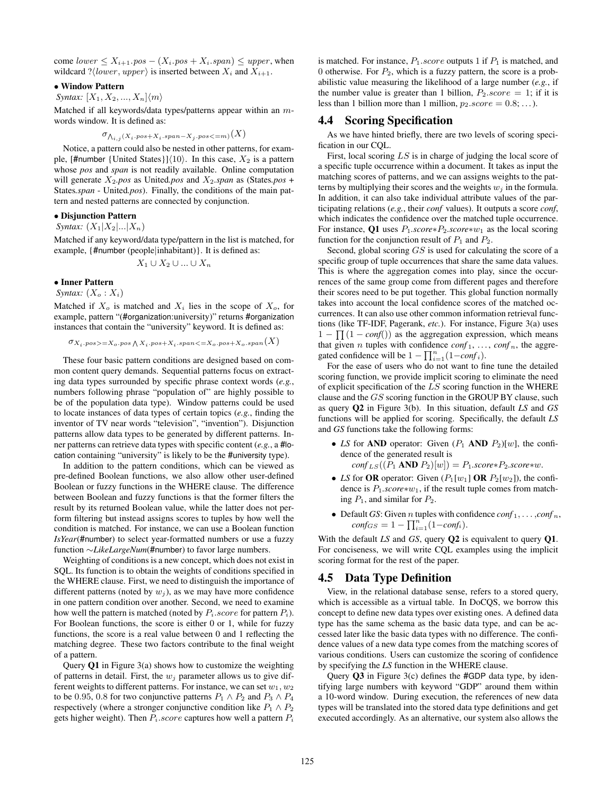come  $lower \leq X_{i+1}.pos - (X_i.pos + X_i.span) \leq upper$ , when wildcard ? $\langle lower, upper \rangle$  is inserted between  $X_i$  and  $X_{i+1}$ .

#### ∙ Window Pattern

*Syntax:*  $[X_1, X_2, ..., X_n] \langle m \rangle$ 

Matched if all keywords/data types/patterns appear within an  $m$ words window. It is defined as:

$$
\sigma_{\bigwedge_{i,j}(X_i\cdot pos+X_i\cdot span-X_j\cdot pos<=m)}(X)
$$

Notice, a pattern could also be nested in other patterns, for example, [#number {United States}] $\langle 10 \rangle$ . In this case,  $X_2$  is a pattern whose *pos* and *span* is not readily available. Online computation will generate  $X_2$ *,pos* as United*,pos* and  $X_2$ *,span* as (States*,pos* + States*.span* - United*.pos*). Finally, the conditions of the main pattern and nested patterns are connected by conjunction.

# ∙ Disjunction Pattern

*Syntax:*  $(X_1|X_2|...|X_n)$ 

Matched if any keyword/data type/pattern in the list is matched, for example, {#number (people∣inhabitant)}. It is defined as:

$$
X_1 \cup X_2 \cup \ldots \cup X_n
$$

#### ∙ Inner Pattern

*Syntax:*  $(X_o : X_i)$ 

Matched if  $X_o$  is matched and  $X_i$  lies in the scope of  $X_o$ , for example, pattern "(#organization:university)" returns #organization instances that contain the "university" keyword. It is defined as:

$$
\sigma_{X_i\cdot pos>=X_o\cdot pos\bigwedge X_i\cdot pos+X_i\cdot span<=X_o\cdot pos+X_o\cdot span\bigl(X\bigr)}
$$

These four basic pattern conditions are designed based on common content query demands. Sequential patterns focus on extracting data types surrounded by specific phrase context words (*e.g.*, numbers following phrase "population of" are highly possible to be of the population data type). Window patterns could be used to locate instances of data types of certain topics (*e.g.*, finding the inventor of TV near words "television", "invention"). Disjunction patterns allow data types to be generated by different patterns. Inner patterns can retrieve data types with specific content (*e.g.*, a #location containing "university" is likely to be the #university type).

In addition to the pattern conditions, which can be viewed as pre-defined Boolean functions, we also allow other user-defined Boolean or fuzzy functions in the WHERE clause. The difference between Boolean and fuzzy functions is that the former filters the result by its returned Boolean value, while the latter does not perform filtering but instead assigns scores to tuples by how well the condition is matched. For instance, we can use a Boolean function *IsYear*(#number) to select year-formatted numbers or use a fuzzy function ∼*LikeLargeNum*(#number) to favor large numbers.

Weighting of conditions is a new concept, which does not exist in SQL. Its function is to obtain the weights of conditions specified in the WHERE clause. First, we need to distinguish the importance of different patterns (noted by  $w_i$ ), as we may have more confidence in one pattern condition over another. Second, we need to examine how well the pattern is matched (noted by  $P_i$ . $score$  for pattern  $P_i$ ). For Boolean functions, the score is either 0 or 1, while for fuzzy functions, the score is a real value between 0 and 1 reflecting the matching degree. These two factors contribute to the final weight of a pattern.

Query Q1 in Figure 3(a) shows how to customize the weighting of patterns in detail. First, the  $w_i$  parameter allows us to give different weights to different patterns. For instance, we can set  $w_1, w_2$ to be 0.95, 0.8 for two conjunctive patterns  $P_1 \wedge P_2$  and  $P_3 \wedge P_4$ respectively (where a stronger conjunctive condition like  $P_1 \wedge P_2$ gets higher weight). Then  $P_i$ . score captures how well a pattern  $P_i$  is matched. For instance,  $P_1 \, score$  outputs 1 if  $P_1$  is matched, and 0 otherwise. For  $P_2$ , which is a fuzzy pattern, the score is a probabilistic value measuring the likelihood of a large number (*e.g.*, if the number value is greater than 1 billion,  $P_2 \, score = 1$ ; if it is less than 1 billion more than 1 million,  $p_2 \, score = 0.8; \ldots$ .

### 4.4 Scoring Specification

As we have hinted briefly, there are two levels of scoring specification in our CQL.

First, local scoring  $LS$  is in charge of judging the local score of a specific tuple occurrence within a document. It takes as input the matching scores of patterns, and we can assigns weights to the patterns by multiplying their scores and the weights  $w_i$  in the formula. In addition, it can also take individual attribute values of the participating relations (*e.g.*, their *conf* values). It outputs a score *conf*, which indicates the confidence over the matched tuple occurrence. For instance, Q1 uses  $P_1 \text{.score} * P_2 \text{.score} * w_1$  as the local scoring function for the conjunction result of  $P_1$  and  $P_2$ .

Second, global scoring  $GS$  is used for calculating the score of a specific group of tuple occurrences that share the same data values. This is where the aggregation comes into play, since the occurrences of the same group come from different pages and therefore their scores need to be put together. This global function normally takes into account the local confidence scores of the matched occurrences. It can also use other common information retrieval functions (like TF-IDF, Pagerank, *etc.*). For instance, Figure 3(a) uses  $1 - \prod (1 - \text{conf}())$  as the aggregation expression, which means that given *n* tuples with confidence  $conf_1, \ldots, conf_n$ , the aggregated confidence will be  $1 - \prod_{i=1}^{n} (1 - \text{conf}_i)$ .

For the ease of users who do not want to fine tune the detailed scoring function, we provide implicit scoring to eliminate the need of explicit specification of the  $LS$  scoring function in the WHERE clause and the  $GS$  scoring function in the GROUP BY clause, such as query Q2 in Figure 3(b). In this situation, default *LS* and *GS* functions will be applied for scoring. Specifically, the default *LS* and *GS* functions take the following forms:

- *LS* for **AND** operator: Given  $(P_1 \text{ AND } P_2)[w]$ , the confidence of the generated result is  $\text{conf}_{LS}((P_1 \text{ AND } P_2)[w]) = P_1 \text{.score} * P_2 \text{.score} * w.$
- *LS* for **OR** operator: Given  $(P_1[w_1] \text{ OR } P_2[w_2])$ , the confidence is  $P_1$ *.score*∗ $w_1$ , if the result tuple comes from matching  $P_1$ , and similar for  $P_2$ .
- Default *GS*: Given *n* tuples with confidence  $conf_1, \ldots, conf_n$ ,  $\textit{conf}_{GS} = 1 - \prod_{i=1}^{n} (1 - \textit{conf}_i).$

With the default *LS* and *GS*, query Q2 is equivalent to query Q1. For conciseness, we will write CQL examples using the implicit scoring format for the rest of the paper.

#### 4.5 Data Type Definition

View, in the relational database sense, refers to a stored query, which is accessible as a virtual table. In DoCQS, we borrow this concept to define new data types over existing ones. A defined data type has the same schema as the basic data type, and can be accessed later like the basic data types with no difference. The confidence values of a new data type comes from the matching scores of various conditions. Users can customize the scoring of confidence by specifying the *LS* function in the WHERE clause.

Query  $Q3$  in Figure 3(c) defines the #GDP data type, by identifying large numbers with keyword "GDP" around them within a 10-word window. During execution, the references of new data types will be translated into the stored data type definitions and get executed accordingly. As an alternative, our system also allows the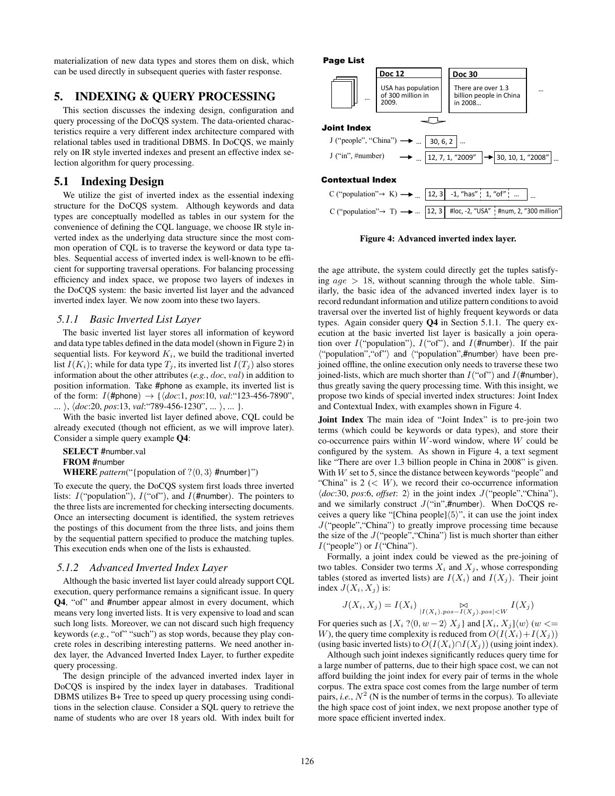materialization of new data types and stores them on disk, which can be used directly in subsequent queries with faster response.

# 5. INDEXING & QUERY PROCESSING

This section discusses the indexing design, configuration and query processing of the DoCQS system. The data-oriented characteristics require a very different index architecture compared with relational tables used in traditional DBMS. In DoCQS, we mainly rely on IR style inverted indexes and present an effective index selection algorithm for query processing.

# 5.1 Indexing Design

We utilize the gist of inverted index as the essential indexing structure for the DoCQS system. Although keywords and data types are conceptually modelled as tables in our system for the convenience of defining the CQL language, we choose IR style inverted index as the underlying data structure since the most common operation of CQL is to traverse the keyword or data type tables. Sequential access of inverted index is well-known to be efficient for supporting traversal operations. For balancing processing efficiency and index space, we propose two layers of indexes in the DoCQS system: the basic inverted list layer and the advanced inverted index layer. We now zoom into these two layers.

#### *5.1.1 Basic Inverted List Layer*

The basic inverted list layer stores all information of keyword and data type tables defined in the data model (shown in Figure 2) in sequential lists. For keyword  $K_i$ , we build the traditional inverted list  $I(K_i)$ ; while for data type  $T_j$ , its inverted list  $I(T_j)$  also stores information about the other attributes  $(e.g., doc, val)$  in addition to position information. Take #phone as example, its inverted list is of the form:  $I(\text{#phone}) \rightarrow \{ \langle doc:1, pos:10, val: "123-456-7890",\} \rangle$ ... ⟩, ⟨*doc*:20, *pos*:13, *val*:"789-456-1230", ... ⟩, ... }.

With the basic inverted list layer defined above, CQL could be already executed (though not efficient, as we will improve later). Consider a simple query example Q4:

SELECT #number.val FROM #number

**WHERE** *pattern*("{population of  $? \langle 0, 3 \rangle$  #number}")

To execute the query, the DoCQS system first loads three inverted lists:  $I("population"), I("of"), and I(\text{#number}).$  The pointers to the three lists are incremented for checking intersecting documents. Once an intersecting document is identified, the system retrieves the postings of this document from the three lists, and joins them by the sequential pattern specified to produce the matching tuples. This execution ends when one of the lists is exhausted.

#### *5.1.2 Advanced Inverted Index Layer*

Although the basic inverted list layer could already support CQL execution, query performance remains a significant issue. In query Q4, "of" and #number appear almost in every document, which means very long inverted lists. It is very expensive to load and scan such long lists. Moreover, we can not discard such high frequency keywords (*e.g.*, "of" "such") as stop words, because they play concrete roles in describing interesting patterns. We need another index layer, the Advanced Inverted Index Layer, to further expedite query processing.

The design principle of the advanced inverted index layer in DoCQS is inspired by the index layer in databases. Traditional DBMS utilizes B+ Tree to speed up query processing using conditions in the selection clause. Consider a SQL query to retrieve the name of students who are over 18 years old. With index built for





Figure 4: Advanced inverted index layer.

the age attribute, the system could directly get the tuples satisfying  $age > 18$ , without scanning through the whole table. Similarly, the basic idea of the advanced inverted index layer is to record redundant information and utilize pattern conditions to avoid traversal over the inverted list of highly frequent keywords or data types. Again consider query Q4 in Section 5.1.1. The query execution at the basic inverted list layer is basically a join operation over  $I("population"), I("of"), and I(\text{#number}).$  If the pair ⟨"population","of"⟩ and ⟨"population",#number⟩ have been prejoined offline, the online execution only needs to traverse these two joined-lists, which are much shorter than  $I("of")$  and  $I(\text{#number})$ , thus greatly saving the query processing time. With this insight, we propose two kinds of special inverted index structures: Joint Index and Contextual Index, with examples shown in Figure 4.

Joint Index The main idea of "Joint Index" is to pre-join two terms (which could be keywords or data types), and store their co-occurrence pairs within  $W$ -word window, where  $W$  could be configured by the system. As shown in Figure 4, a text segment like "There are over 1.3 billion people in China in 2008" is given. With  $W$  set to 5, since the distance between keywords "people" and "China" is  $2 \lt W$ ), we record their co-occurrence information ⟨*doc*:30, *pos*:6, *offset*: 2⟩ in the joint index 𝐽("people","China"), and we similarly construct  $J("in",\#number)$ . When DoCQS receives a query like "[China people]⟨5⟩", it can use the joint index  $J$ ("people", "China") to greatly improve processing time because the size of the  $J("people", "China")$  list is much shorter than either  $I("people")$  or  $I("China").$ 

Formally, a joint index could be viewed as the pre-joining of two tables. Consider two terms  $X_i$  and  $X_j$ , whose corresponding tables (stored as inverted lists) are  $I(X_i)$  and  $I(X_i)$ . Their joint index  $J(X_i, X_j)$  is:

$$
J(X_i, X_j) = I(X_i) \underset{|I(X_i) \cdot pos = I(X_j) \cdot pos| < W}{\bowtie} I(X_j)
$$

For queries such as  $\{X_i\}$  ? $\langle 0, w-2 \rangle$   $X_j$  } and  $\{X_i, X_j\}$  $\langle w \rangle$  ( $w \leq w$ W), the query time complexity is reduced from  $O(I(X_i) + I(X_i))$ (using basic inverted lists) to  $O(I(X_i) \cap I(X_i))$  (using joint index).

Although such joint indexes significantly reduces query time for a large number of patterns, due to their high space cost, we can not afford building the joint index for every pair of terms in the whole corpus. The extra space cost comes from the large number of term pairs, *i.e.*,  $N^2$  (N is the number of terms in the corpus). To alleviate the high space cost of joint index, we next propose another type of more space efficient inverted index.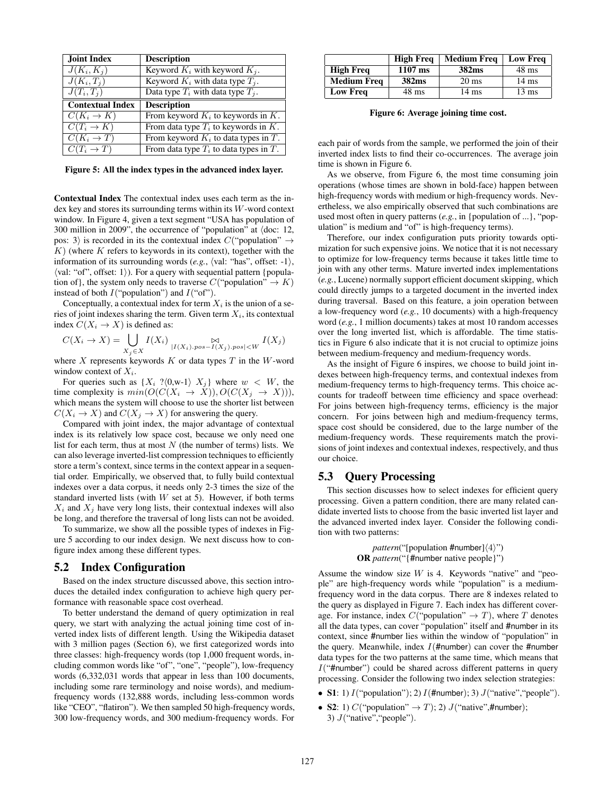| Joint Index                       | <b>Description</b>                       |  |  |  |
|-----------------------------------|------------------------------------------|--|--|--|
| $J(K_i,K_j)$                      | Keyword $K_i$ with keyword $K_i$ .       |  |  |  |
| $J(K_i,T_j)$                      | Keyword $K_i$ with data type $T_i$ .     |  |  |  |
| $J(T_i,T_i)$                      | Data type $T_i$ with data type $T_i$ .   |  |  |  |
| <b>Contextual Index</b>           | <b>Description</b>                       |  |  |  |
| $\overline{C(K_i \rightarrow K)}$ | From keyword $K_i$ to keywords in K.     |  |  |  |
| $C(T_i \rightarrow K)$            | From data type $T_i$ to keywords in K.   |  |  |  |
| $C(K_i \to T)$                    | From keyword $K_i$ to data types in T.   |  |  |  |
| $C(T_i \rightarrow T)$            | From data type $T_i$ to data types in T. |  |  |  |

Figure 5: All the index types in the advanced index layer.

Contextual Index The contextual index uses each term as the index key and stores its surrounding terms within its  $W$ -word context window. In Figure 4, given a text segment "USA has population of 300 million in 2009", the occurrence of "population" at ⟨doc: 12, pos: 3) is recorded in its the contextual index  $C$  ("population"  $\rightarrow$  $K$ ) (where K refers to keywords in its context), together with the information of its surrounding words  $(e.g., \langle val: "has", offset: -1 \rangle)$ ,  $\langle$ val: "of", offset: 1 $\rangle$ ). For a query with sequential pattern {population of}, the system only needs to traverse  $C("population" \rightarrow K)$ instead of both  $I("population")$  and  $I("of")$ .

Conceptually, a contextual index for term  $X_i$  is the union of a series of joint indexes sharing the term. Given term  $X_i$ , its contextual index  $C(X_i \to X)$  is defined as:

$$
C(X_i \to X) = \bigcup_{X_j \in X} I(X_i) \bigcup_{|I(X_i)|, pos - I(X_j), pos| < W} I(X_j)
$$

where  $X$  represents keywords  $K$  or data types  $T$  in the  $W$ -word window context of  $X_i$ .

For queries such as  $\{X_i\ ?\langle 0, w-1 \rangle\ X_j\}$  where  $w < W$ , the time complexity is  $min(O(C(X_i \rightarrow X)), O(C(X_i \rightarrow X))),$ which means the system will choose to use the shorter list between  $C(X_i \to X)$  and  $C(X_i \to X)$  for answering the query.

Compared with joint index, the major advantage of contextual index is its relatively low space cost, because we only need one list for each term, thus at most  $N$  (the number of terms) lists. We can also leverage inverted-list compression techniques to efficiently store a term's context, since terms in the context appear in a sequential order. Empirically, we observed that, to fully build contextual indexes over a data corpus, it needs only 2-3 times the size of the standard inverted lists (with  $W$  set at 5). However, if both terms  $X_i$  and  $X_j$  have very long lists, their contextual indexes will also be long, and therefore the traversal of long lists can not be avoided.

To summarize, we show all the possible types of indexes in Figure 5 according to our index design. We next discuss how to configure index among these different types.

#### 5.2 Index Configuration

Based on the index structure discussed above, this section introduces the detailed index configuration to achieve high query performance with reasonable space cost overhead.

To better understand the demand of query optimization in real query, we start with analyzing the actual joining time cost of inverted index lists of different length. Using the Wikipedia dataset with 3 million pages (Section 6), we first categorized words into three classes: high-frequency words (top 1,000 frequent words, including common words like "of", "one", "people"), low-frequency words (6,332,031 words that appear in less than 100 documents, including some rare terminology and noise words), and mediumfrequency words (132,888 words, including less-common words like "CEO", "flatiron"). We then sampled 50 high-frequency words, 300 low-frequency words, and 300 medium-frequency words. For

|                    | <b>High Freq</b> | <b>Medium Freq</b> | <b>Low Freq</b> |
|--------------------|------------------|--------------------|-----------------|
| <b>High Freq</b>   | $1107$ ms        | 382ms              | $48 \text{ ms}$ |
| <b>Medium Frea</b> | 382ms            | $20 \text{ ms}$    | $14 \text{ ms}$ |
| <b>Low Freq</b>    | $48 \text{ ms}$  | 14 ms              | $13 \text{ ms}$ |

Figure 6: Average joining time cost.

each pair of words from the sample, we performed the join of their inverted index lists to find their co-occurrences. The average join time is shown in Figure 6.

As we observe, from Figure 6, the most time consuming join operations (whose times are shown in bold-face) happen between high-frequency words with medium or high-frequency words. Nevertheless, we also empirically observed that such combinations are used most often in query patterns (*e.g.*, in {population of ...}, "population" is medium and "of" is high-frequency terms).

Therefore, our index configuration puts priority towards optimization for such expensive joins. We notice that it is not necessary to optimize for low-frequency terms because it takes little time to join with any other terms. Mature inverted index implementations (*e.g.*, Lucene) normally support efficient document skipping, which could directly jumps to a targeted document in the inverted index during traversal. Based on this feature, a join operation between a low-frequency word (*e.g.*, 10 documents) with a high-frequency word (*e.g.*, 1 million documents) takes at most 10 random accesses over the long inverted list, which is affordable. The time statistics in Figure 6 also indicate that it is not crucial to optimize joins between medium-frequency and medium-frequency words.

As the insight of Figure 6 inspires, we choose to build joint indexes between high-frequency terms, and contextual indexes from medium-frequency terms to high-frequency terms. This choice accounts for tradeoff between time efficiency and space overhead: For joins between high-frequency terms, efficiency is the major concern. For joins between high and medium-frequency terms, space cost should be considered, due to the large number of the medium-frequency words. These requirements match the provisions of joint indexes and contextual indexes, respectively, and thus our choice.

### 5.3 Query Processing

This section discusses how to select indexes for efficient query processing. Given a pattern condition, there are many related candidate inverted lists to choose from the basic inverted list layer and the advanced inverted index layer. Consider the following condition with two patterns:

> *pattern*("[population #number]⟨4⟩") OR *pattern*("{#number native people}")

Assume the window size  $W$  is 4. Keywords "native" and "people" are high-frequency words while "population" is a mediumfrequency word in the data corpus. There are 8 indexes related to the query as displayed in Figure 7. Each index has different coverage. For instance, index  $C("population" \rightarrow T)$ , where T denotes all the data types, can cover "population" itself and #number in its context, since #number lies within the window of "population" in the query. Meanwhile, index  $I$ (#number) can cover the #number data types for the two patterns at the same time, which means that  $I("#number")$  could be shared across different patterns in query processing. Consider the following two index selection strategies:

- S1: 1)  $I("population")$ ; 2)  $I(\text{#number})$ ; 3)  $J("native", "people").$
- S2: 1)  $C("population" \rightarrow T)$ ; 2)  $J("native", \#number);$ 3)  $J("native", "people").$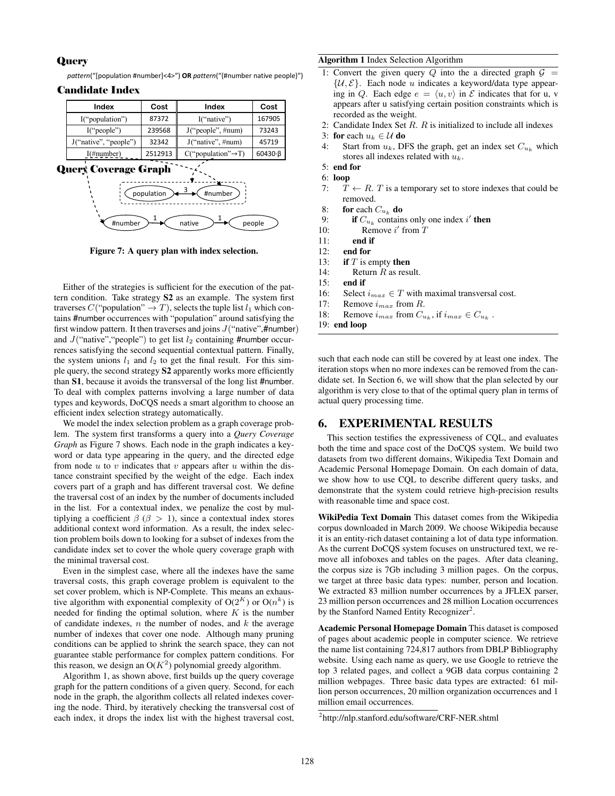### **Query**

pattern("[population #number]<4>") OR pattern("{#number native people}")

# Candidate Index

| Index                       | Cost    | Index                           | Cost                |  |
|-----------------------------|---------|---------------------------------|---------------------|--|
| 87372<br>I("population")    |         | I("native")                     | 167905              |  |
| 239568<br>I("people")       |         | J("people", #num)               | 73243               |  |
| J("native", "people")       | 32342   | J("native", #num)               | 45719               |  |
| $I(\#number)$               | 2512913 | $C("population" \rightarrow T)$ | $60430 \cdot \beta$ |  |
| <b>Query Coverage Graph</b> |         |                                 |                     |  |



Figure 7: A query plan with index selection.

Either of the strategies is sufficient for the execution of the pattern condition. Take strategy S2 as an example. The system first traverses  $C("population" \rightarrow T)$ , selects the tuple list  $l_1$  which contains #number occurrences with "population" around satisfying the first window pattern. It then traverses and joins  $J("native",\#number)$ and  $J("native", "people")$  to get list  $l_2$  containing #number occurrences satisfying the second sequential contextual pattern. Finally, the system unions  $l_1$  and  $l_2$  to get the final result. For this simple query, the second strategy S2 apparently works more efficiently than S1, because it avoids the transversal of the long list #number. To deal with complex patterns involving a large number of data types and keywords, DoCQS needs a smart algorithm to choose an efficient index selection strategy automatically.

We model the index selection problem as a graph coverage problem. The system first transforms a query into a *Query Coverage Graph* as Figure 7 shows. Each node in the graph indicates a keyword or data type appearing in the query, and the directed edge from node  $u$  to  $v$  indicates that  $v$  appears after  $u$  within the distance constraint specified by the weight of the edge. Each index covers part of a graph and has different traversal cost. We define the traversal cost of an index by the number of documents included in the list. For a contextual index, we penalize the cost by multiplying a coefficient  $\beta$  ( $\beta$  > 1), since a contextual index stores additional context word information. As a result, the index selection problem boils down to looking for a subset of indexes from the candidate index set to cover the whole query coverage graph with the minimal traversal cost.

Even in the simplest case, where all the indexes have the same traversal costs, this graph coverage problem is equivalent to the set cover problem, which is NP-Complete. This means an exhaustive algorithm with exponential complexity of  $O(2^K)$  or  $O(n^k)$  is needed for finding the optimal solution, where  $K$  is the number of candidate indexes,  $n$  the number of nodes, and  $k$  the average number of indexes that cover one node. Although many pruning conditions can be applied to shrink the search space, they can not guarantee stable performance for complex pattern conditions. For this reason, we design an  $O(K^2)$  polynomial greedy algorithm.

Algorithm 1, as shown above, first builds up the query coverage graph for the pattern conditions of a given query. Second, for each node in the graph, the algorithm collects all related indexes covering the node. Third, by iteratively checking the transversal cost of each index, it drops the index list with the highest traversal cost,

#### Algorithm 1 Index Selection Algorithm

- 1: Convert the given query Q into the a directed graph  $\mathcal{G}$  =  $\{\mathcal{U}, \mathcal{E}\}.$  Each node u indicates a keyword/data type appearing in Q. Each edge  $e = \langle u, v \rangle$  in  $\mathcal E$  indicates that for u, v appears after u satisfying certain position constraints which is recorded as the weight.
- 2: Candidate Index Set  $R$ .  $R$  is initialized to include all indexes
- 3: for each  $u_k \in \mathcal{U}$  do<br>4: Start from  $u_k$ , D
- Start from  $u_k$ , DFS the graph, get an index set  $C_{u_k}$  which stores all indexes related with  $u_k$ .
- 5: end for
- 6: loop
- 7:  $T \leftarrow R$ . T is a temporary set to store indexes that could be removed.
- 8: **for** each  $C_{u_k}$  **do**<br>9: **if**  $C_{u_k}$  contain
- 9: **if**  $C_{u_k}$  contains only one index i' **then**
- 10: Remove  $i'$  from  $T$
- 11: end if
- 12: end for
- 13: if  $T$  is empty then
- 14: Return  $R$  as result.
- 15: end if
- 16: Select  $i_{max} \in T$  with maximal transversal cost.<br>17: Remove  $i_{max}$  from R.
- Remove  $i_{max}$  from  $R$ .
- 18: Remove  $i_{max}$  from  $C_{u_k}$ , if  $i_{max} \in C_{u_k}$ .
- 19: end loop

such that each node can still be covered by at least one index. The iteration stops when no more indexes can be removed from the candidate set. In Section 6, we will show that the plan selected by our algorithm is very close to that of the optimal query plan in terms of actual query processing time.

### 6. EXPERIMENTAL RESULTS

This section testifies the expressiveness of CQL, and evaluates both the time and space cost of the DoCQS system. We build two datasets from two different domains, Wikipedia Text Domain and Academic Personal Homepage Domain. On each domain of data, we show how to use CQL to describe different query tasks, and demonstrate that the system could retrieve high-precision results with reasonable time and space cost.

WikiPedia Text Domain This dataset comes from the Wikipedia corpus downloaded in March 2009. We choose Wikipedia because it is an entity-rich dataset containing a lot of data type information. As the current DoCQS system focuses on unstructured text, we remove all infoboxes and tables on the pages. After data cleaning, the corpus size is 7Gb including 3 million pages. On the corpus, we target at three basic data types: number, person and location. We extracted 83 million number occurrences by a JFLEX parser, 23 million person occurrences and 28 million Location occurrences by the Stanford Named Entity Recognizer<sup>2</sup>.

Academic Personal Homepage Domain This dataset is composed of pages about academic people in computer science. We retrieve the name list containing 724,817 authors from DBLP Bibliography website. Using each name as query, we use Google to retrieve the top 3 related pages, and collect a 9GB data corpus containing 2 million webpages. Three basic data types are extracted: 61 million person occurrences, 20 million organization occurrences and 1 million email occurrences.

<sup>2</sup> http://nlp.stanford.edu/software/CRF-NER.shtml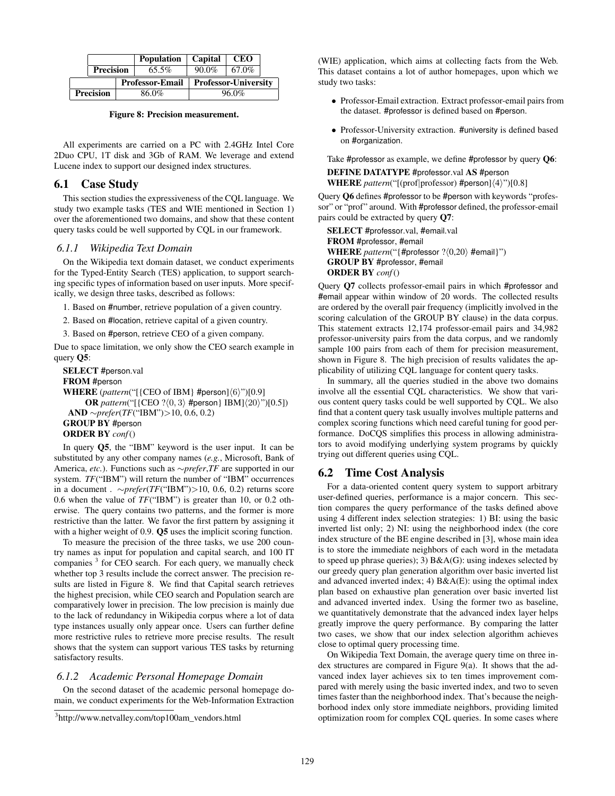|                  |                  | <b>Population</b>      | Capital                     | <b>CEO</b> |       |
|------------------|------------------|------------------------|-----------------------------|------------|-------|
|                  | <b>Precision</b> |                        | $65.5\%$                    | $90.0\%$   | 67.0% |
|                  |                  | <b>Professor-Email</b> | <b>Professor-University</b> |            |       |
| <b>Precision</b> |                  |                        | 86.0%                       | 96.0%      |       |

Figure 8: Precision measurement.

All experiments are carried on a PC with 2.4GHz Intel Core 2Duo CPU, 1T disk and 3Gb of RAM. We leverage and extend Lucene index to support our designed index structures.

# 6.1 Case Study

This section studies the expressiveness of the CQL language. We study two example tasks (TES and WIE mentioned in Section 1) over the aforementioned two domains, and show that these content query tasks could be well supported by CQL in our framework.

## *6.1.1 Wikipedia Text Domain*

On the Wikipedia text domain dataset, we conduct experiments for the Typed-Entity Search (TES) application, to support searching specific types of information based on user inputs. More specifically, we design three tasks, described as follows:

1. Based on #number, retrieve population of a given country.

2. Based on #location, retrieve capital of a given country.

3. Based on #person, retrieve CEO of a given company.

Due to space limitation, we only show the CEO search example in query Q5:

```
SELECT #person.val
FROM #person
WHERE (pattern("[{CEO of IBM} #person]⟨6⟩")[0.9]
     OR pattern("[{CEO ?⟨0, 3⟩ #person} IBM]⟨20⟩")[0.5])
 AND ∼prefer(TF("IBM")>10, 0.6, 0.2)
GROUP BY #person
```

```
ORDER BY conf()
```
In query Q5, the "IBM" keyword is the user input. It can be substituted by any other company names (*e.g.*, Microsoft, Bank of America, *etc.*). Functions such as ∼*prefer*,*TF* are supported in our system. *TF*("IBM") will return the number of "IBM" occurrences in a document . ∼*prefer*(*TF*("IBM")>10, 0.6, 0.2) returns score 0.6 when the value of *TF*("IBM") is greater than 10, or 0.2 otherwise. The query contains two patterns, and the former is more restrictive than the latter. We favor the first pattern by assigning it with a higher weight of 0.9. **Q5** uses the implicit scoring function.

To measure the precision of the three tasks, we use 200 country names as input for population and capital search, and 100 IT companies <sup>3</sup> for CEO search. For each query, we manually check whether top 3 results include the correct answer. The precision results are listed in Figure 8. We find that Capital search retrieves the highest precision, while CEO search and Population search are comparatively lower in precision. The low precision is mainly due to the lack of redundancy in Wikipedia corpus where a lot of data type instances usually only appear once. Users can further define more restrictive rules to retrieve more precise results. The result shows that the system can support various TES tasks by returning satisfactory results.

# *6.1.2 Academic Personal Homepage Domain*

On the second dataset of the academic personal homepage domain, we conduct experiments for the Web-Information Extraction (WIE) application, which aims at collecting facts from the Web. This dataset contains a lot of author homepages, upon which we study two tasks:

- ∙ Professor-Email extraction. Extract professor-email pairs from the dataset. #professor is defined based on #person.
- ∙ Professor-University extraction. #university is defined based on #organization.

Take #professor as example, we define #professor by query Q6:

# DEFINE DATATYPE #professor.val AS #person WHERE *pattern*("[(prof∣professor) #person]⟨4⟩")[0.8]

Query Q6 defines #professor to be #person with keywords "professor" or "prof" around. With #professor defined, the professor-email pairs could be extracted by query Q7:

SELECT #professor.val, #email.val FROM #professor, #email WHERE *pattern*("{#professor ? $(0,20)$  #email}") GROUP BY #professor, #email ORDER BY *conf*()

Query Q7 collects professor-email pairs in which #professor and #email appear within window of 20 words. The collected results are ordered by the overall pair frequency (implicitly involved in the scoring calculation of the GROUP BY clause) in the data corpus. This statement extracts 12,174 professor-email pairs and 34,982 professor-university pairs from the data corpus, and we randomly sample 100 pairs from each of them for precision measurement, shown in Figure 8. The high precision of results validates the applicability of utilizing CQL language for content query tasks.

In summary, all the queries studied in the above two domains involve all the essential CQL characteristics. We show that various content query tasks could be well supported by CQL. We also find that a content query task usually involves multiple patterns and complex scoring functions which need careful tuning for good performance. DoCQS simplifies this process in allowing administrators to avoid modifying underlying system programs by quickly trying out different queries using CQL.

# 6.2 Time Cost Analysis

For a data-oriented content query system to support arbitrary user-defined queries, performance is a major concern. This section compares the query performance of the tasks defined above using 4 different index selection strategies: 1) BI: using the basic inverted list only; 2) NI: using the neighborhood index (the core index structure of the BE engine described in [3], whose main idea is to store the immediate neighbors of each word in the metadata to speed up phrase queries); 3)  $B&A(G)$ : using indexes selected by our greedy query plan generation algorithm over basic inverted list and advanced inverted index; 4) B&A(E): using the optimal index plan based on exhaustive plan generation over basic inverted list and advanced inverted index. Using the former two as baseline, we quantitatively demonstrate that the advanced index layer helps greatly improve the query performance. By comparing the latter two cases, we show that our index selection algorithm achieves close to optimal query processing time.

On Wikipedia Text Domain, the average query time on three index structures are compared in Figure 9(a). It shows that the advanced index layer achieves six to ten times improvement compared with merely using the basic inverted index, and two to seven times faster than the neighborhood index. That's because the neighborhood index only store immediate neighbors, providing limited optimization room for complex CQL queries. In some cases where

<sup>3</sup> http://www.netvalley.com/top100am\_vendors.html